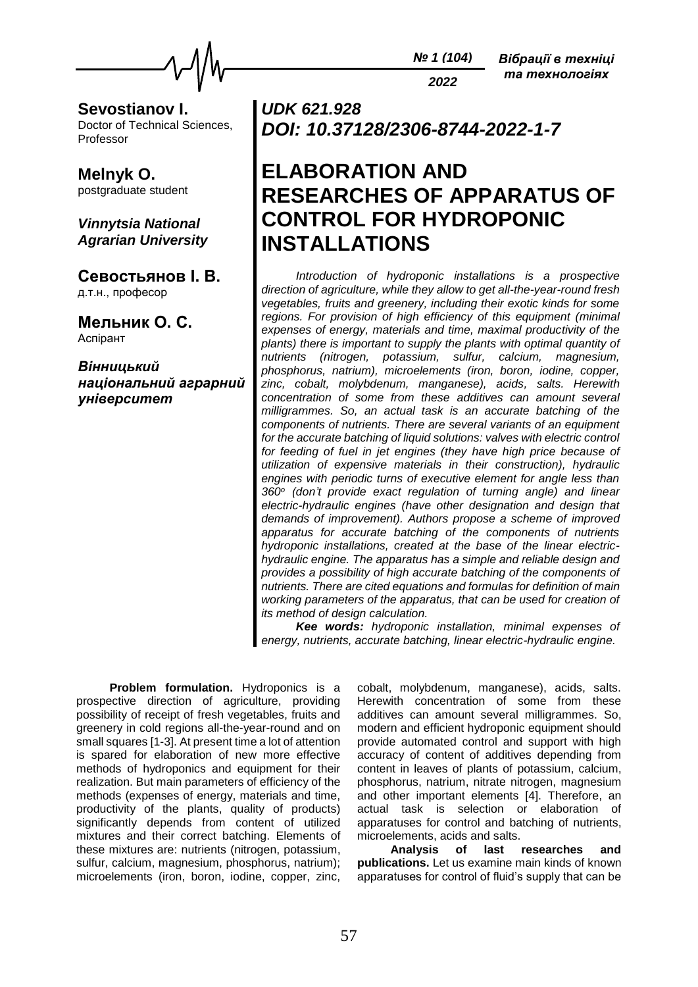

**Sevostianov I.** Doctor of Technical Sciences, Professor

**Melnyk O.** postgraduate student

*Vinnytsia National Agrarian University*

**Севостьянов І. В.** д.т.н., професор

**Мельник О. С.** Аспірант

*Вінницький національний аграрний університет*

*UDK 621.928 DOI: 10.37128/2306-8744-2022-1-7*

# **ELABORATION AND RESEARCHES OF APPARATUS OF CONTROL FOR HYDROPONIC INSTALLATIONS**

*Introduction of hydroponic installations is a prospective direction of agriculture, while they allow to get all-the-year-round fresh vegetables, fruits and greenery, including their exotic kinds for some regions. For provision of high efficiency of this equipment (minimal expenses of energy, materials and time, maximal productivity of the plants) there is important to supply the plants with optimal quantity of nutrients (nitrogen, potassium, sulfur, calcium, magnesium, phosphorus, natrium), microelements (iron, boron, iodine, copper, zinc, cobalt, molybdenum, manganese), acids, salts. Herewith concentration of some from these additives can amount several milligrammes. So, an actual task is an accurate batching of the components of nutrients. There are several variants of an equipment for the accurate batching of liquid solutions: valves with electric control*  for feeding of fuel in jet engines (they have high price because of *utilization of expensive materials in their construction), hydraulic engines with periodic turns of executive element for angle less than 360<sup>o</sup> (don't provide exact regulation of turning angle) and linear electric-hydraulic engines (have other designation and design that demands of improvement). Authors propose a scheme of improved apparatus for accurate batching of the components of nutrients hydroponic installations, created at the base of the linear electrichydraulic engine. The apparatus has a simple and reliable design and provides a possibility of high accurate batching of the components of nutrients. There are cited equations and formulas for definition of main working parameters of the apparatus, that can be used for creation of its method of design calculation.*

*Kee words: hydroponic installation, minimal expenses of energy, nutrients, accurate batching, linear electric-hydraulic engine.*

**Problem formulation.** Hydroponics is a prospective direction of agriculture, providing possibility of receipt of fresh vegetables, fruits and greenery in cold regions all-the-year-round and on small squares [1-3]. At present time a lot of attention is spared for elaboration of new more effective methods of hydroponics and equipment for their realization. But main parameters of efficiency of the methods (expenses of energy, materials and time, productivity of the plants, quality of products) significantly depends from content of utilized mixtures and their correct batching. Elements of these mixtures are: nutrients (nitrogen, potassium, sulfur, calcium, magnesium, phosphorus, natrium); microelements (iron, boron, iodine, copper, zinc,

cobalt, molybdenum, manganese), acids, salts. Herewith concentration of some from these additives can amount several milligrammes. So, modern and efficient hydroponic equipment should provide automated control and support with high accuracy of content of additives depending from content in leaves of plants of potassium, calcium, phosphorus, natrium, nitrate nitrogen, magnesium and other important elements [4]. Therefore, an actual task is selection or elaboration of apparatuses for control and batching of nutrients, microelements, acids and salts.

**Analysis of last researches and publications.** Let us examine main kinds of known apparatuses for control of fluid's supply that can be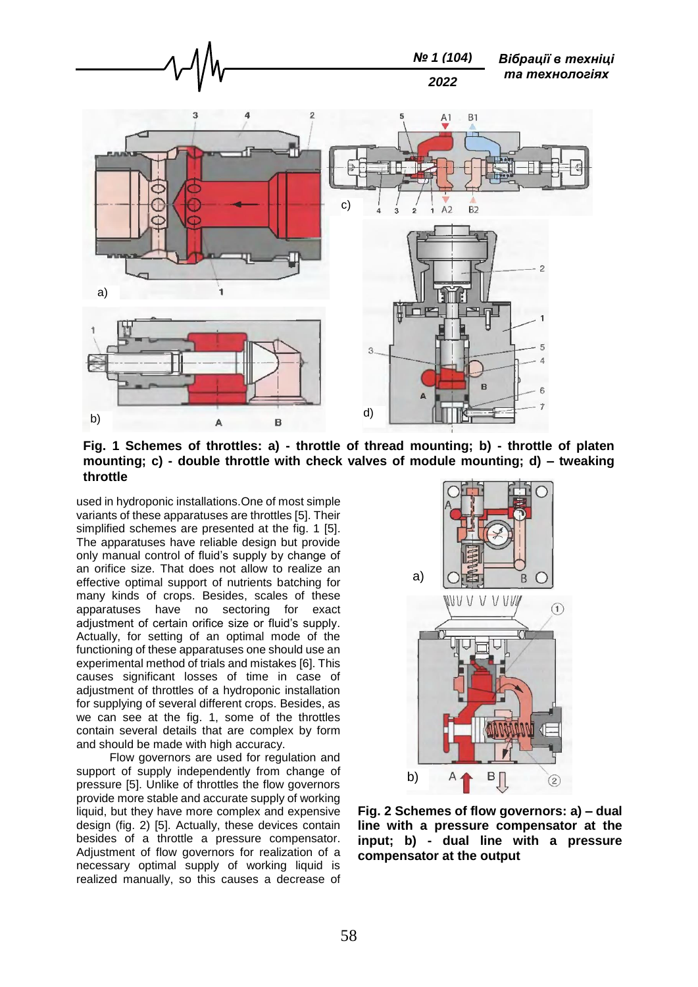

**Fig. 1 Schemes of throttles: a) - throttle of thread mounting; b) - throttle of platen mounting; c) - double throttle with check valves of module mounting; d) – tweaking throttle**

used in hydroponic installations.One of most simple variants of these apparatuses are throttles [5]. Their simplified schemes are presented at the fig. 1 [5]. The apparatuses have reliable design but provide only manual control of fluid's supply by change of an orifice size. That does not allow to realize an effective optimal support of nutrients batching for many kinds of crops. Besides, scales of these apparatuses have no sectoring for exact adiustment of certain orifice size or fluid's supply. Actually, for setting of an optimal mode of the functioning of these apparatuses one should use an experimental method of trials and mistakes [6]. This causes significant losses of time in case of adjustment of throttles of a hydroponic installation for supplying of several different crops. Besides, as we can see at the fig. 1, some of the throttles contain several details that are complex by form and should be made with high accuracy.

Flow governors are used for regulation and support of supply independently from change of pressure [5]. Unlike of throttles the flow governors provide more stable and accurate supply of working liquid, but they have more complex and expensive design (fig. 2) [5]. Actually, these devices contain besides of a throttle a pressure compensator. Adjustment of flow governors for realization of a necessary optimal supply of working liquid is realized manually, so this causes a decrease of



**Fig. 2 Schemes of flow governors: a) – dual line with a pressure compensator at the input; b) - dual line with a pressure compensator at the output**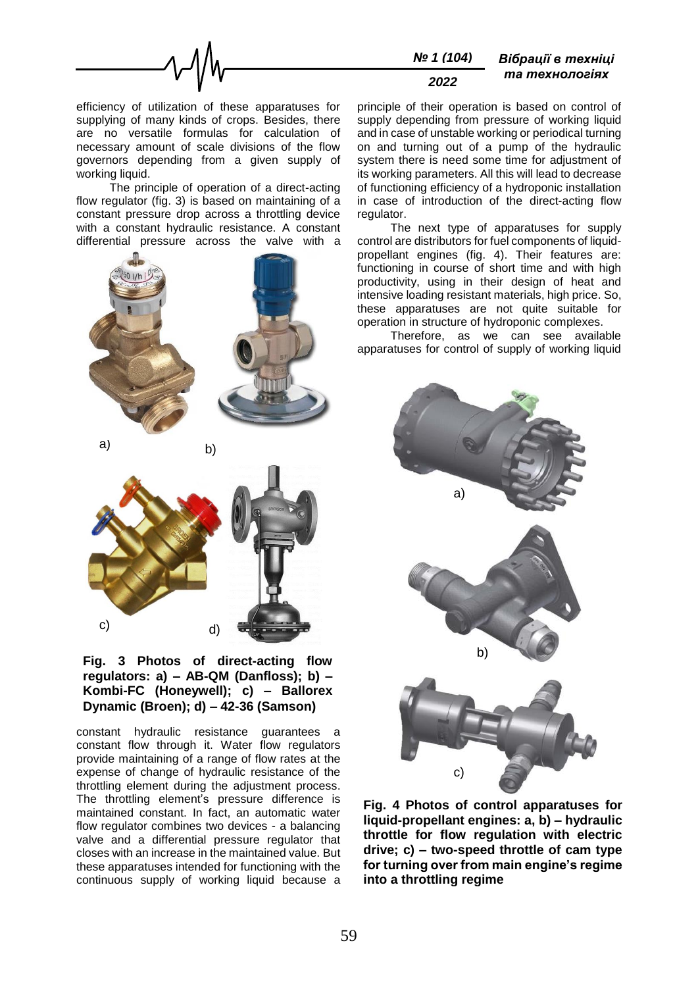

efficiency of utilization of these apparatuses for supplying of many kinds of crops. Besides, there are no versatile formulas for calculation of necessary amount of scale divisions of the flow governors depending from a given supply of working liquid.

The principle of operation of a direct-acting flow regulator (fig. 3) is based on maintaining of a constant pressure drop across a throttling device with a constant hydraulic resistance. A constant differential pressure across the valve with a





## **Fig. 3 Photos of direct-acting flow regulators: a) – AB-QM (Danfloss); b) – Kombi-FC (Honeywell); c) – Ballorex Dynamic (Broen); d) – 42-36 (Samson)**

constant hydraulic resistance guarantees a constant flow through it. Water flow regulators provide maintaining of a range of flow rates at the expense of change of hydraulic resistance of the throttling element during the adjustment process. The throttling element's pressure difference is maintained constant. In fact, an automatic water flow regulator combines two devices - a balancing valve and a differential pressure regulator that closes with an increase in the maintained value. But these apparatuses intended for functioning with the continuous supply of working liquid because a

principle of their operation is based on control of supply depending from pressure of working liquid and in case of unstable working or periodical turning on and turning out of a pump of the hydraulic system there is need some time for adjustment of its working parameters. All this will lead to decrease of functioning efficiency of a hydroponic installation in case of introduction of the direct-acting flow regulator.

The next type of apparatuses for supply control are distributors for fuel components of liquidpropellant engines (fig. 4). Their features are: functioning in course of short time and with high productivity, using in their design of heat and intensive loading resistant materials, high price. So, these apparatuses are not quite suitable for operation in structure of hydroponic complexes.

Therefore, as we can see available apparatuses for control of supply of working liquid



**Fig. 4 Photos of control apparatuses for liquid-propellant engines: a, b) – hydraulic throttle for flow regulation with electric drive; c) – two-speed throttle of cam type for turning over from main engine's regime into a throttling regime**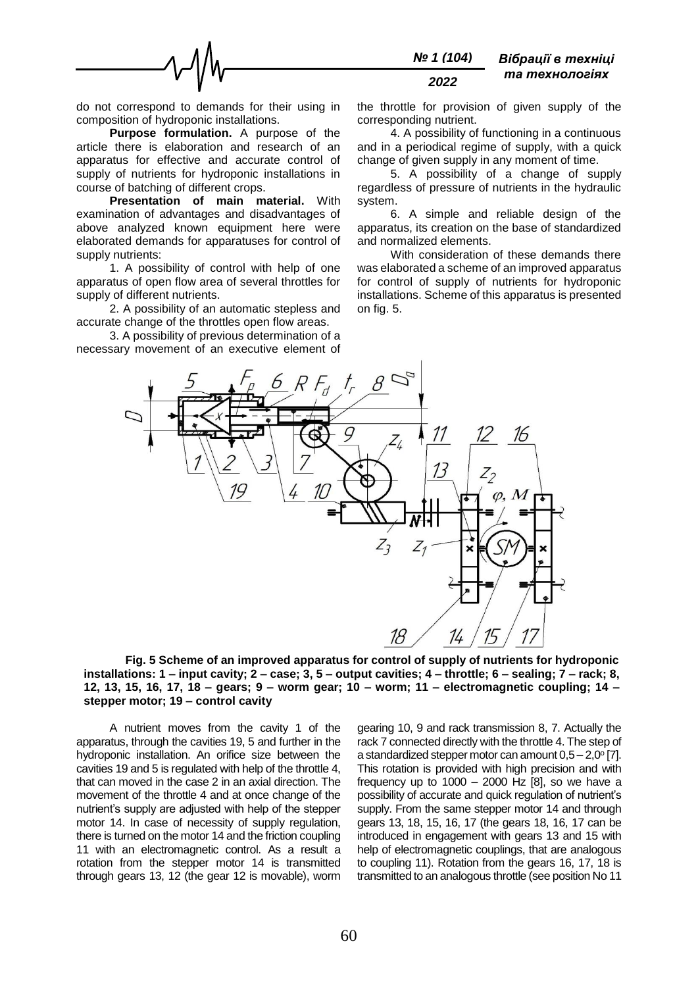

do not correspond to demands for their using in composition of hydroponic installations.

**Purpose formulation.** A purpose of the article there is elaboration and research of an apparatus for effective and accurate control of supply of nutrients for hydroponic installations in course of batching of different crops.

**Presentation of main material.** With examination of advantages and disadvantages of above analyzed known equipment here were elaborated demands for apparatuses for control of supply nutrients:

1. A possibility of control with help of one apparatus of open flow area of several throttles for supply of different nutrients.

2. A possibility of an automatic stepless and accurate change of the throttles open flow areas.

3. A possibility of previous determination of a necessary movement of an executive element of

the throttle for provision of given supply of the corresponding nutrient.

4. A possibility of functioning in a continuous and in a periodical regime of supply, with a quick change of given supply in any moment of time.

5. A possibility of a change of supply regardless of pressure of nutrients in the hydraulic system.

6. A simple and reliable design of the apparatus, its creation on the base of standardized and normalized elements.

With consideration of these demands there was elaborated a scheme of an improved apparatus for control of supply of nutrients for hydroponic installations. Scheme of this apparatus is presented on fig. 5.



**Fig. 5 Scheme of an improved apparatus for control of supply of nutrients for hydroponic installations: 1 – input cavity; 2 – case; 3, 5 – output cavities; 4 – throttle; 6 – sealing; 7 – rack; 8, 12, 13, 15, 16, 17, 18 – gears; 9 – worm gear; 10 – worm; 11 – electromagnetic coupling; 14 – stepper motor; 19 – control cavity**

A nutrient moves from the cavity 1 of the apparatus, through the cavities 19, 5 and further in the hydroponic installation. An orifice size between the cavities 19 and 5 is regulated with help of the throttle 4, that can moved in the case 2 in an axial direction. The movement of the throttle 4 and at once change of the nutrient's supply are adjusted with help of the stepper motor 14. In case of necessity of supply regulation, there is turned on the motor 14 and the friction coupling 11 with an electromagnetic control. As a result a rotation from the stepper motor 14 is transmitted through gears 13, 12 (the gear 12 is movable), worm

gearing 10, 9 and rack transmission 8, 7. Actually the rack 7 connected directly with the throttle 4. The step of a standardized stepper motor can amount  $0,5 - 2,0^{\circ}$  [7]. This rotation is provided with high precision and with frequency up to  $1000 - 2000$  Hz [8], so we have a possibility of accurate and quick regulation of nutrient's supply. From the same stepper motor 14 and through gears 13, 18, 15, 16, 17 (the gears 18, 16, 17 can be introduced in engagement with gears 13 and 15 with help of electromagnetic couplings, that are analogous to coupling 11). Rotation from the gears 16, 17, 18 is transmitted to an analogous throttle (see position No 11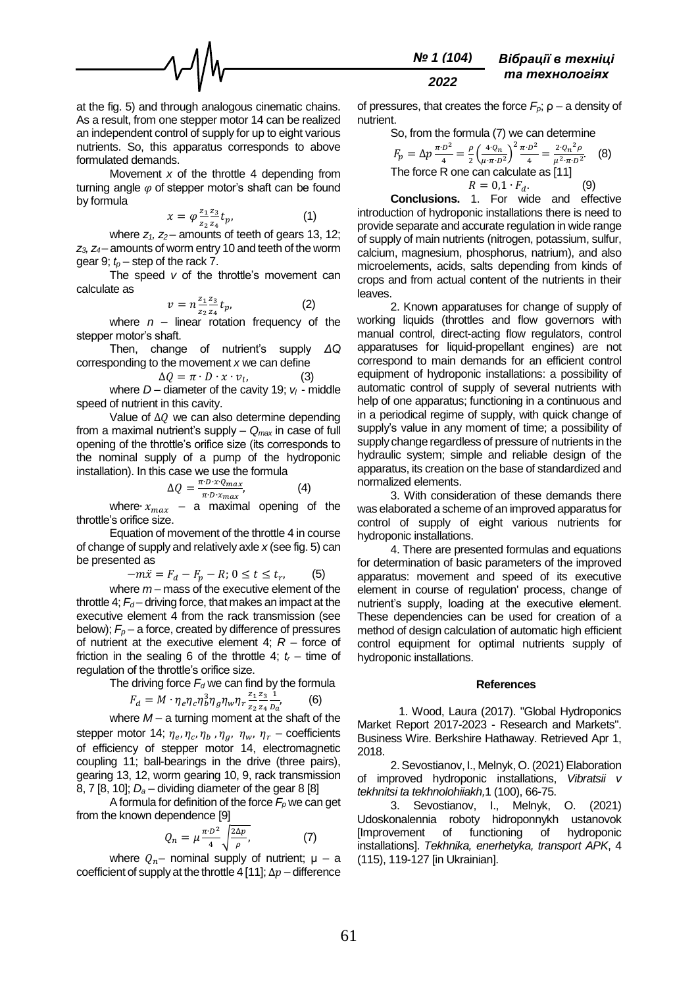

at the fig. 5) and through analogous cinematic chains. As a result, from one stepper motor 14 can be realized an independent control of supply for up to eight various nutrients. So, this apparatus corresponds to above formulated demands.

Movement *x* of the throttle 4 depending from turning angle  $\varphi$  of stepper motor's shaft can be found by formula

$$
x = \varphi \frac{z_1 z_3}{z_2 z_4} t_p, \tag{1}
$$

where *z1, z<sup>2</sup>* – amounts of teeth of gears 13, 12; *z3, z<sup>4</sup>* – amounts of worm entry 10 and teeth of the worm gear 9;  $t_p$  – step of the rack 7.

The speed *v* of the throttle's movement can calculate as

$$
v = n \frac{z_1}{z_2} \frac{z_3}{z_4} t_p, \tag{2}
$$

where  $n -$  linear rotation frequency of the stepper motor's shaft.

Then, change of nutrient's supply *ΔQ* corresponding to the movement *x* we can define

$$
\Delta Q = \pi \cdot D \cdot x \cdot v_l, \tag{3}
$$

where  $D$  – diameter of the cavity 19;  $v_l$  - middle speed of nutrient in this cavity.

Value of  $\Delta Q$  we can also determine depending from a maximal nutrient's supply – *Qmax* in case of full opening of the throttle's orifice size (its corresponds to the nominal supply of a pump of the hydroponic installation). In this case we use the formula

$$
\Delta Q = \frac{\pi \cdot D \cdot x \cdot Q_{max}}{\pi \cdot D \cdot x_{max}},\tag{4}
$$

where∙  $x_{max}$  – a maximal opening of the throttle's orifice size.

Equation of movement of the throttle 4 in course of change of supply and relatively axle *x* (see fig. 5) can be presented as

$$
-m\ddot{x} = F_d - F_p - R; 0 \le t \le t_r, \qquad (5)
$$

where *m* – mass of the executive element of the throttle 4;  $F_d$  – driving force, that makes an impact at the executive element 4 from the rack transmission (see below);  $F_p$  – a force, created by difference of pressures of nutrient at the executive element 4; *R* – force of friction in the sealing 6 of the throttle 4;  $t_r$  – time of regulation of the throttle's orifice size.

The driving force  $F_d$  we can find by the formula

$$
F_d = M \cdot \eta_e \eta_c \eta_b^3 \eta_g \eta_w \eta_r \frac{z_1}{z_2} \frac{z_3}{z_4} \frac{1}{p_a},\tag{6}
$$

where *M* – a turning moment at the shaft of the stepper motor 14;  $\eta_e$ ,  $\eta_c$ ,  $\eta_b$ ,  $\eta_g$ ,  $\eta_w$ ,  $\eta_r$  – coefficients of efficiency of stepper motor 14, electromagnetic coupling 11; ball-bearings in the drive (three pairs), gearing 13, 12, worm gearing 10, 9, rack transmission

8, 7 [8, 10]; *D<sup>a</sup>* – dividing diameter of the gear 8 [8] A formula for definition of the force  $F_p$  we can get

from the known dependence [9]  
\n
$$
Q_n = \mu \frac{\pi D^2}{4} \sqrt{\frac{2 \Delta p}{\rho}},
$$
\n(7)

where  $Q_n$ – nominal supply of nutrient;  $\mu$  – a coefficient of supply at the throttle 4 [11];  $\Delta p$  – difference of pressures, that creates the force  $F_p$ ;  $\rho - a$  density of nutrient.

So, from the formula (7) we can determine

$$
F_p = \Delta p \frac{\pi \cdot D^2}{4} = \frac{\rho}{2} \left( \frac{4 \cdot Q_n}{\mu \cdot \pi \cdot D^2} \right)^2 \frac{\pi \cdot D^2}{4} = \frac{2 \cdot Q_n^2 \rho}{\mu^2 \cdot \pi \cdot D^2}.
$$
 (8)  
The force R one can calculate as [11]  

$$
R = 0.1 \cdot F_d.
$$
 (9)

**Conclusions.** 1. For wide and effective introduction of hydroponic installations there is need to provide separate and accurate regulation in wide range of supply of main nutrients (nitrogen, potassium, sulfur, calcium, magnesium, phosphorus, natrium), and also microelements, acids, salts depending from kinds of crops and from actual content of the nutrients in their leaves.

2. Known apparatuses for change of supply of working liquids (throttles and flow governors with manual control, direct-acting flow regulators, control apparatuses for liquid-propellant engines) are not correspond to main demands for an efficient control equipment of hydroponic installations: a possibility of automatic control of supply of several nutrients with help of one apparatus; functioning in a continuous and in a periodical regime of supply, with quick change of supply's value in any moment of time; a possibility of supply change regardless of pressure of nutrients in the hydraulic system; simple and reliable design of the apparatus, its creation on the base of standardized and normalized elements.

3. With consideration of these demands there was elaborated a scheme of an improved apparatus for control of supply of eight various nutrients for hydroponic installations.

4. There are presented formulas and equations for determination of basic parameters of the improved apparatus: movement and speed of its executive element in course of regulation' process, change of nutrient's supply, loading at the executive element. These dependencies can be used for creation of a method of design calculation of automatic high efficient control equipment for optimal nutrients supply of hydroponic installations.

### **References**

1. Wood, Laura (2017). ["Global Hydroponics](https://www.businesswire.com/news/home/20171206006224/en/)  [Market Report 2017-2023](https://www.businesswire.com/news/home/20171206006224/en/) - Research and Markets". Business Wire. Berkshire Hathaway. Retrieved Apr 1, 2018.

2. Sevostianov, I., Melnyk, O. (2021) Elaboration of improved hydroponic installations, *Vibratsii v tekhnitsi ta tekhnolohiiakh,*1 (100), 66-75.

3. Sevostianov, I., Melnyk, O. (2021) Udoskonalennia roboty hidroponnykh ustanovok [Improvement of functioning of hydroponic installations]. *Tekhnika, enerhetyka, transport APK*, 4 (115), 119-127 [in Ukrainian].